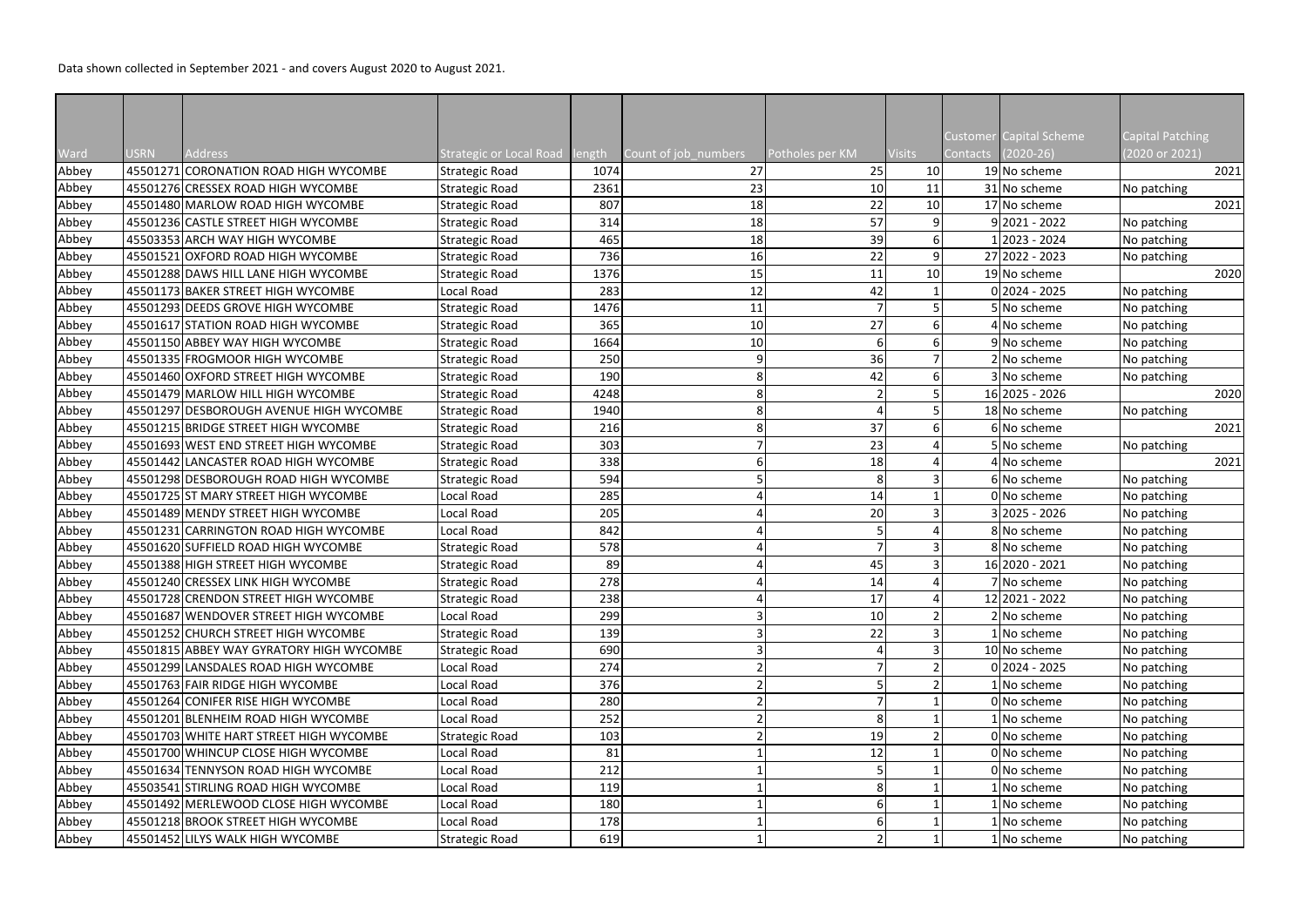Data shown collected in September 2021 - and covers August 2020 to August 2021.

|               |             | Address                                  |                                           |                |                            |                       | <b>Visits</b> | Contacts | Customer Capital Scheme<br>$(2020-26)$ | <b>Capital Patching</b><br>(2020 or 2021) |
|---------------|-------------|------------------------------------------|-------------------------------------------|----------------|----------------------------|-----------------------|---------------|----------|----------------------------------------|-------------------------------------------|
| Ward<br>Abbey | <b>USRN</b> | 45501271 CORONATION ROAD HIGH WYCOMBE    | Strategic or Local Road<br>Strategic Road | length<br>1074 | Count of job_numbers<br>27 | Potholes per KM<br>25 | 10            |          | 19 No scheme                           | 2021                                      |
|               |             | 45501276 CRESSEX ROAD HIGH WYCOMBE       | Strategic Road                            | 2361           | 23                         | 10                    | 11            |          | 31 No scheme                           | No patching                               |
| Abbey         |             | 45501480 MARLOW ROAD HIGH WYCOMBE        |                                           | 807            |                            |                       | 10            |          | 17 No scheme                           |                                           |
| Abbey         |             |                                          | Strategic Road                            |                | 18                         | 22                    |               |          | $9 2021 - 2022$                        | 2021                                      |
| Abbey         |             | 45501236 CASTLE STREET HIGH WYCOMBE      | <b>Strategic Road</b>                     | 314            | 18                         | 57                    |               |          |                                        | No patching                               |
| Abbey         |             | 45503353 ARCH WAY HIGH WYCOMBE           | Strategic Road                            | 465            | 18                         | 39                    |               |          | 2023 - 2024].                          | No patching                               |
| Abbey         |             | 45501521 OXFORD ROAD HIGH WYCOMBE        | Strategic Road                            | 736            | 16                         | 22                    |               |          | 27 2022 - 2023                         | No patching                               |
| Abbey         |             | 45501288 DAWS HILL LANE HIGH WYCOMBE     | Strategic Road                            | 1376           | 15                         | 11                    | 10            |          | 19 No scheme                           | 2020                                      |
| Abbey         |             | 45501173 BAKER STREET HIGH WYCOMBE       | Local Road                                | 283            | 12                         | 42                    |               |          | $0 2024 - 2025$                        | No patching                               |
| Abbey         |             | 45501293 DEEDS GROVE HIGH WYCOMBE        | <b>Strategic Road</b>                     | 1476           | 11                         |                       |               |          | 5 No scheme                            | No patching                               |
| Abbey         |             | 45501617 STATION ROAD HIGH WYCOMBE       | Strategic Road                            | 365            | 10                         | 27                    |               |          | 4 No scheme                            | No patching                               |
| Abbey         |             | 45501150 ABBEY WAY HIGH WYCOMBE          | <b>Strategic Road</b>                     | 1664           | 10                         |                       |               |          | 9 No scheme                            | No patching                               |
| Abbey         |             | 45501335 FROGMOOR HIGH WYCOMBE           | Strategic Road                            | 250            | 9                          | 36                    |               |          | 2 No scheme                            | No patching                               |
| Abbey         |             | 45501460 OXFORD STREET HIGH WYCOMBE      | Strategic Road                            | 190            | 8                          | 42                    |               |          | 3 No scheme                            | No patching                               |
| Abbey         |             | 45501479 MARLOW HILL HIGH WYCOMBE        | Strategic Road                            | 4248           | 8 <sup>1</sup>             |                       |               |          | 16 2025 - 2026                         | 2020                                      |
| Abbey         |             | 45501297 DESBOROUGH AVENUE HIGH WYCOMBE  | Strategic Road                            | 1940           | 8                          |                       |               |          | 18 No scheme                           | No patching                               |
| Abbey         |             | 45501215 BRIDGE STREET HIGH WYCOMBE      | Strategic Road                            | 216            | 8                          | 37                    |               |          | 6 No scheme                            | 2021                                      |
| Abbey         |             | 45501693 WEST END STREET HIGH WYCOMBE    | Strategic Road                            | 303            |                            | 23                    |               |          | 5 No scheme                            | No patching                               |
| Abbey         |             | 45501442 LANCASTER ROAD HIGH WYCOMBE     | Strategic Road                            | 338            |                            | 18                    |               |          | 4 No scheme                            | 2021                                      |
| Abbey         |             | 45501298 DESBOROUGH ROAD HIGH WYCOMBE    | Strategic Road                            | 594            |                            |                       |               |          | 6 No scheme                            | No patching                               |
| Abbey         |             | 45501725 ST MARY STREET HIGH WYCOMBE     | Local Road                                | 285            |                            | 14                    |               |          | 0 No scheme                            | No patching                               |
| Abbey         |             | 45501489 MENDY STREET HIGH WYCOMBE       | Local Road                                | 205            |                            | 20                    |               |          | $3 2025 - 2026$                        | No patching                               |
| Abbey         |             | 45501231 CARRINGTON ROAD HIGH WYCOMBE    | Local Road                                | 842            |                            |                       |               |          | 8 No scheme                            | No patching                               |
| Abbey         |             | 45501620 SUFFIELD ROAD HIGH WYCOMBE      | Strategic Road                            | 578            |                            |                       |               |          | 8 No scheme                            | No patching                               |
| Abbey         |             | 45501388 HIGH STREET HIGH WYCOMBE        | <b>Strategic Road</b>                     | 89             |                            | 45                    |               |          | 16 2020 - 2021                         | No patching                               |
| Abbey         |             | 45501240 CRESSEX LINK HIGH WYCOMBE       | Strategic Road                            | 278            |                            | 14<br>ᅩ               |               |          | 7 No scheme                            | No patching                               |
| Abbey         |             | 45501728 CRENDON STREET HIGH WYCOMBE     | Strategic Road                            | 238            |                            | 17                    |               |          | 12 2021 - 2022                         | No patching                               |
| Abbey         |             | 45501687 WENDOVER STREET HIGH WYCOMBE    | Local Road                                | 299            |                            | 10                    |               |          | 2 No scheme                            | No patching                               |
| Abbey         |             | 45501252 CHURCH STREET HIGH WYCOMBE      | Strategic Road                            | 139            |                            | 22                    |               |          | 1 No scheme                            | No patching                               |
| Abbey         |             | 45501815 ABBEY WAY GYRATORY HIGH WYCOMBE | Strategic Road                            | 690            |                            |                       |               |          | 10 No scheme                           | No patching                               |
| Abbey         |             | 45501299 LANSDALES ROAD HIGH WYCOMBE     | Local Road                                | 274            |                            |                       |               |          | $0 2024 - 2025$                        | No patching                               |
| Abbey         |             | 45501763 FAIR RIDGE HIGH WYCOMBE         | Local Road                                | 376            |                            |                       |               |          | 1 No scheme                            | No patching                               |
| Abbey         |             | 45501264 CONIFER RISE HIGH WYCOMBE       | Local Road                                | 280            |                            |                       |               |          | 0 No scheme                            | No patching                               |
| Abbey         |             | 45501201 BLENHEIM ROAD HIGH WYCOMBE      | Local Road                                | 252            |                            |                       |               |          | 1 No scheme                            | No patching                               |
| Abbey         |             | 45501703 WHITE HART STREET HIGH WYCOMBE  | Strategic Road                            | 103            |                            | 19                    |               |          | 0 No scheme                            | No patching                               |
| Abbey         |             | 45501700 WHINCUP CLOSE HIGH WYCOMBE      | Local Road                                | 81             |                            | 12                    |               |          | 0 No scheme                            | No patching                               |
| Abbey         |             | 45501634 TENNYSON ROAD HIGH WYCOMBE      | Local Road                                | 212            |                            |                       |               |          | 0 No scheme                            | No patching                               |
| Abbey         |             | 45503541 STIRLING ROAD HIGH WYCOMBE      | Local Road                                | 119            |                            |                       |               |          | 1 No scheme                            | No patching                               |
| Abbey         |             | 45501492 MERLEWOOD CLOSE HIGH WYCOMBE    | Local Road                                | 180            |                            |                       |               |          | 1 No scheme                            | No patching                               |
| Abbey         |             | 45501218 BROOK STREET HIGH WYCOMBE       | Local Road                                | 178            |                            |                       |               |          | 1 No scheme                            | No patching                               |
| Abbey         |             | 45501452 LILYS WALK HIGH WYCOMBE         | Strategic Road                            | 619            |                            |                       |               |          | 1 No scheme                            | No patching                               |
|               |             |                                          |                                           |                |                            |                       |               |          |                                        |                                           |